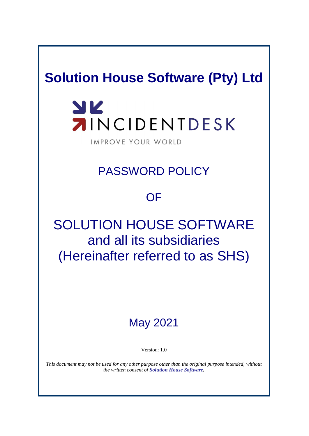## **Solution House Software (Pty) Ltd**

# YK **AINCIDENTDESK**

IMPROVE YOUR WORLD

### PASSWORD POLICY

### **OF**

# SOLUTION HOUSE SOFTWARE and all its subsidiaries (Hereinafter referred to as SHS)

### May 2021

Version: 1.0

*This document may not be used for any other purpose other than the original purpose intended, without the written consent of Solution House Software.*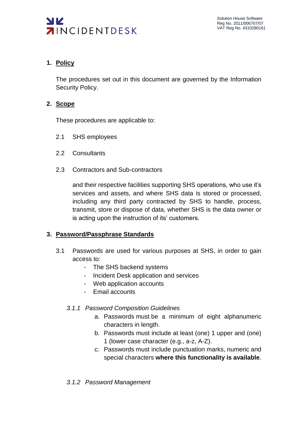

#### **1. Policy**

The procedures set out in this document are governed by the Information Security Policy.

#### **2. Scope**

These procedures are applicable to:

- 2.1 SHS employees
- 2.2 Consultants
- 2.3 Contractors and Sub-contractors

and their respective facilities supporting SHS operations, who use it's services and assets, and where SHS data is stored or processed, including any third party contracted by SHS to handle, process, transmit, store or dispose of data, whether SHS is the data owner or is acting upon the instruction of its' customers.

#### **3. Password/Passphrase Standards**

- 3.1 Passwords are used for various purposes at SHS, in order to gain access to:
	- The SHS backend systems
	- Incident Desk application and services
	- Web application accounts
	- Email accounts
	- *3.1.1 Password Composition Guidelines*
		- a. Passwords must be a minimum of eight alphanumeric characters in length.
		- b. Passwords must include at least (one) 1 upper and (one) 1 (lower case character (e.g., a-z, A-Z).
		- c. Passwords must include punctuation marks, numeric and special characters **where this functionality is available**.
	- *3.1.2 Password Management*